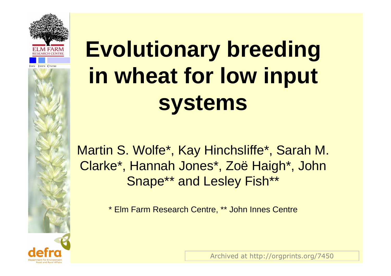



Martin S. Wolfe\*, Kay Hinchsliffe\*, Sarah M. Clarke\*, Hannah Jones\*, Zoë Haigh\*, John Snape\*\* and Lesley Fish\*\*

\* Elm Farm Research Centre, \*\* John Innes Centre

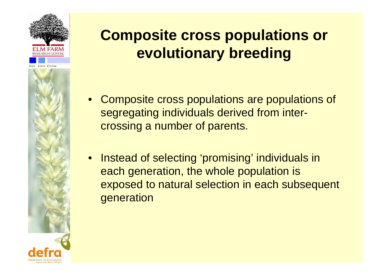

## **Composite cross populations or evolutionary breeding**

- • Composite cross populations are populations of segregating individuals derived from intercrossing a number of parents.
- $\bullet$  Instead of selecting 'promising' individuals in each generation, the whole population is exposed to natural selection in each subsequent generation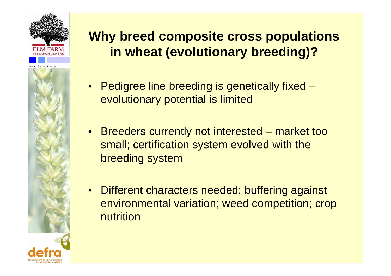



### **Why breed composite cross populations in wheat (evolutionary breeding)?**

- Pedigree line breeding is genetically fixed evolutionary potential is limited
- Breeders currently not interested market too small; certification system evolved with the breeding system
- $\bullet$  Different characters needed: buffering against environmental variation; weed competition; crop nutrition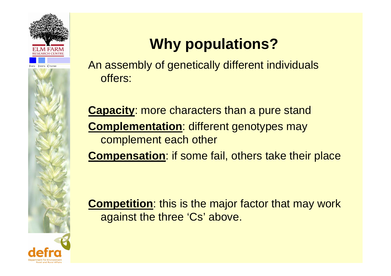



# **Why populations?**

An assembly of genetically different individuals offers:

**Capacity**: more characters than a pure stand **Complementation**: different genotypes may complement each other

**Compensation**: if some fail, others take their place

**Competition**: this is the major factor that may work against the three 'Cs' above.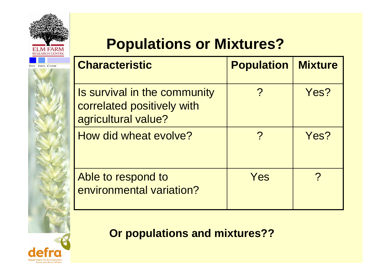

INNES CENTRE

## **Populations or Mixtures?**

| <b>Characteristic</b>                                                             | <b>Population</b> | <b>Mixture</b> |
|-----------------------------------------------------------------------------------|-------------------|----------------|
| Is survival in the community<br>correlated positively with<br>agricultural value? |                   | Yes?           |
| How did wheat evolve?                                                             |                   | Yes?           |
| Able to respond to<br>environmental variation?                                    | Yes               |                |

### **Or populations and mixtures??**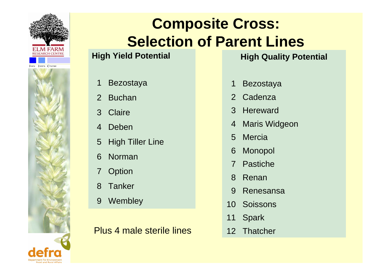



### **Composite Cross: Selection of Parent Lines**

#### **High Yield Potential**

#### 1Bezostaya

- $\mathcal{P}$ Buchan
- 3**Claire**
- 4Deben
- 5High Tiller Line
- 6Norman
- 7**Option**
- 8**Tanker**
- 9**Wembley**

#### Plus 4 male sterile lines

#### **High Quality Potential**

- 1Bezostaya
- 2**Cadenza**
- 3**Hereward**
- 4Maris Widgeon
- 5**Mercia**
- 6Monopol
- 7Pastiche
- 8Renan
- $\overline{Q}$ Renesansa
- 10**Soissons**
- 11Spark
- 12 Thatcher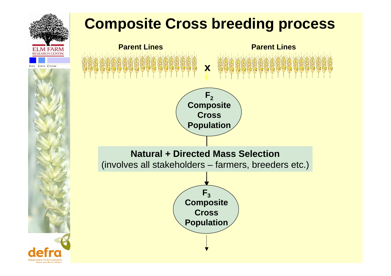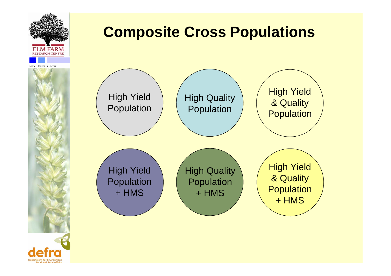



### **Composite Cross Populations**

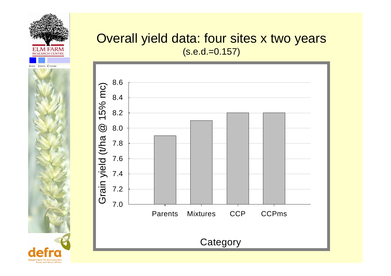



### Overall yield data: four sites x two years  $(s.e.d = 0.157)$

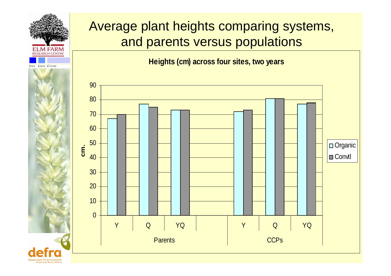

### Average plant heights comparing systems, and parents versus populations

**Heights (cm) across four sites, two years**

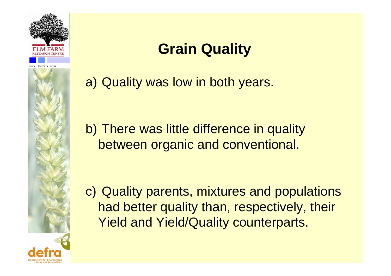



a) Quality was low in both years.

b) There was little difference in quality between organic and conventional.

c) Quality parents, mixtures and populations had better quality than, respectively, their Yield and Yield/Quality counterparts.

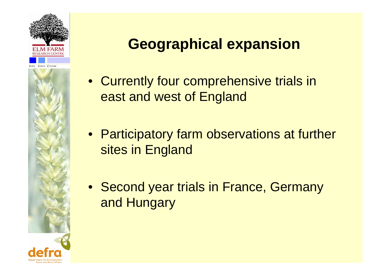



### **Geographical expansion**

- Currently four comprehensive trials in east and west of England
- Participatory farm observations at further sites in England
- Second year trials in France, Germany and Hungary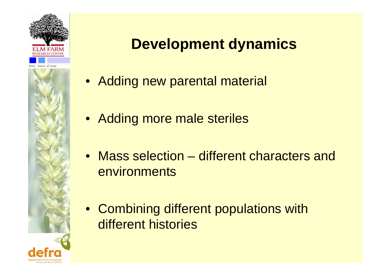



### **Development dynamics**

- Adding new parental material
- Adding more male steriles
- Mass selection different characters and environments
- Combining different populations with different histories